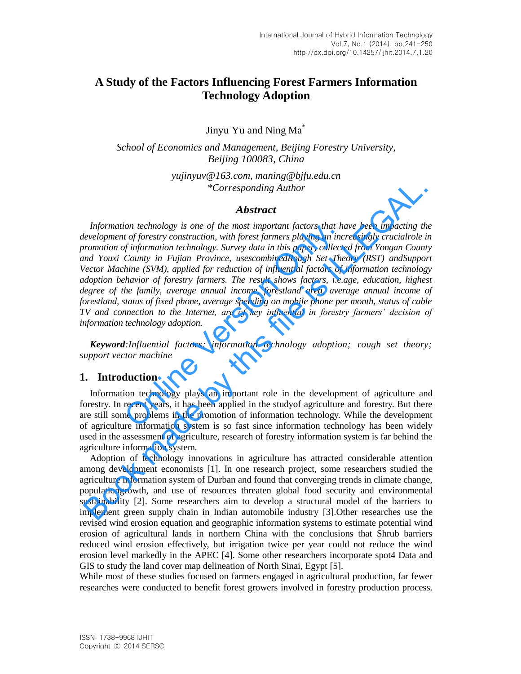# **A Study of the Factors Influencing Forest Farmers Information Technology Adoption**

Jinyu Yu and Ning Ma\*

*School of Economics and Management, Beijing Forestry University, Beijing 100083, China*

> *yujinyuv@163.com, maning@bjfu.edu.cn \*Corresponding Author*

#### *Abstract*

*Information technology is one of the most important factors that have been impacting the development of forestry construction, with forest farmers playing an increasingly crucialrole in promotion of information technology. Survey data in this paper, collected from Yongan County and Youxi County in Fujian Province, usescombinedRough Set Theory (RST) andSupport Vector Machine (SVM), applied for reduction of influential factors of information technology adoption behavior of forestry farmers. The result shows factors, i.e.age, education, highest*  degree of the family, average annual income, forestland area, average annual income of *forestland, status of fixed phone, average spending on mobile phone per month, status of cable TV and connection to the Internet, are of key influential in forestry farmers' decision of information technology adoption.*  on technology is one of the most important factors that he<br>
to f forestry construction, with forest farmers playing an inc<br>
f information technology. Survey data in this paper, collected<br>
County in Fujian Province, usescom Experimention technology is one of the most important factors that have been impacting the<br>
involvement of forestry construction, with forest farmers pluging in increasingly crucial<br>role involvement of information technolo

*Keyword:Influential factors; information technology adoption; rough set theory; support vector machine*

## **1. Introduction**

Information technology plays an important role in the development of agriculture and forestry. In recent years, it has been applied in the studyof agriculture and forestry. But there are still some problems in the promotion of information technology. While the development of agriculture information system is so fast since information technology has been widely used in the assessment of agriculture, research of forestry information system is far behind the agriculture information system.

Adoption of technology innovations in agriculture has attracted considerable attention among development economists [1]. In one research project, some researchers studied the agriculture information system of Durban and found that converging trends in climate change, populationgrowth, and use of resources threaten global food security and environmental sustainability [2]. Some researchers aim to develop a structural model of the barriers to implement green supply chain in Indian automobile industry [3].Other researches use the revised wind erosion equation and geographic information systems to estimate potential wind erosion of agricultural lands in northern China with the conclusions that Shrub barriers reduced wind erosion effectively, but irrigation twice per year could not reduce the wind erosion level markedly in the APEC [4]. Some other researchers incorporate spot4 Data and GIS to study the land cover map delineation of North Sinai, Egypt [5].

While most of these studies focused on farmers engaged in agricultural production, far fewer researches were conducted to benefit forest growers involved in forestry production process.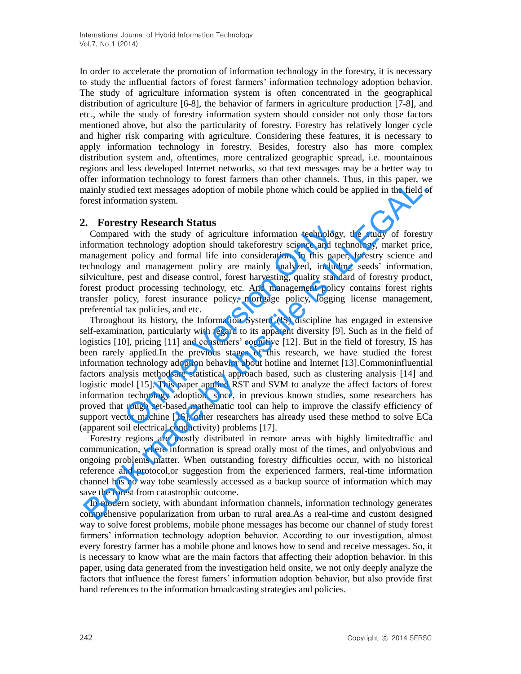In order to accelerate the promotion of information technology in the forestry, it is necessary to study the influential factors of forest farmers' information technology adoption behavior. The study of agriculture information system is often concentrated in the geographical distribution of agriculture [6-8], the behavior of farmers in agriculture production [7-8], and etc., while the study of forestry information system should consider not only those factors mentioned above, but also the particularity of forestry. Forestry has relatively longer cycle and higher risk comparing with agriculture. Considering these features, it is necessary to apply information technology in forestry. Besides, forestry also has more complex distribution system and, oftentimes, more centralized geographic spread, i.e. mountainous regions and less developed Internet networks, so that text messages may be a better way to offer information technology to forest farmers than other channels. Thus, in this paper, we mainly studied text messages adoption of mobile phone which could be applied in the field of forest information system.

## **2. Forestry Research Status**

Compared with the study of agriculture information technology, the study of forestry information technology adoption should takeforestry science and technology, market price, management policy and formal life into consideration. In this paper, forestry science and technology and management policy are mainly analyzed, including seeds' information, silviculture, pest and disease control, forest harvesting, quality standard of forestry product, forest product processing technology, etc. And management policy contains forest rights transfer policy, forest insurance policy, mortgage policy, logging license management, preferential tax policies, and etc.

Throughout its history, the Information System (IS) discipline has engaged in extensive self-examination, particularly with regard to its apparent diversity [9]. Such as in the field of logistics [10], pricing [11] and consumers' cognitive [12]. But in the field of forestry, IS has been rarely applied.In the previous stages of this research, we have studied the forest information technology adoption behavior about hotline and Internet [13].Commoninfluential factors analysis methodsare statistical approach based, such as clustering analysis [14] and logistic model [15]. This paper applied RST and SVM to analyze the affect factors of forest information technology adoption, since, in previous known studies, some researchers has proved that rough set-based mathematic tool can help to improve the classify efficiency of support vector machine [16], other researchers has already used these method to solve ECa (apparent soil electrical conductivity) problems [17]. Let the study of agriculture information technology,<br>dethnology doption should takeforestry science and tect to policy and formal life into consideration. In this pape<br>and management policy are mainly analyzed, including p mommunon economogy of orosa ramsons and voter cannous, and was paper, where more more more more than the study of the time study of the more than the study of the Compared with the study of spiral the study of spiral forma

Forestry regions are mostly distributed in remote areas with highly limitedtraffic and communication, where information is spread orally most of the times, and onlyobvious and ongoing problems matter. When outstanding forestry difficulties occur, with no historical reference and protocol,or suggestion from the experienced farmers, real-time information channel has no way tobe seamlessly accessed as a backup source of information which may save the forest from catastrophic outcome.

In modern society, with abundant information channels, information technology generates comprehensive popularization from urban to rural area.As a real-time and custom designed way to solve forest problems, mobile phone messages has become our channel of study forest farmers' information technology adoption behavior. According to our investigation, almost every forestry farmer has a mobile phone and knows how to send and receive messages. So, it is necessary to know what are the main factors that affecting their adoption behavior. In this paper, using data generated from the investigation held onsite, we not only deeply analyze the factors that influence the forest famers' information adoption behavior, but also provide first hand references to the information broadcasting strategies and policies.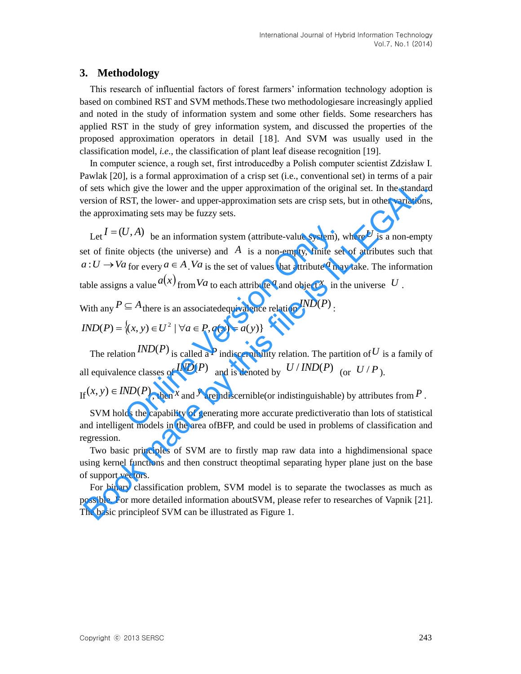## **3. Methodology**

This research of influential factors of forest farmers' information technology adoption is based on combined RST and SVM methods.These two methodologiesare increasingly applied and noted in the study of information system and some other fields. Some researchers has applied RST in the study of grey information system, and discussed the properties of the proposed approximation operators in detail [18]. And SVM was usually used in the classification model, *i.e.*, the classification of plant leaf disease recognition [19].

In computer science, a rough set, first introducedby a Polish computer scientist Zdzisław I. Pawlak [20], is a formal approximation of a crisp set (i.e., conventional set) in terms of a pair of sets which give the lower and the upper approximation of the original set. In the standard version of RST, the lower- and upper-approximation sets are crisp sets, but in other variations, the approximating sets may be fuzzy sets.

Let  $I = (U, A)$  be an information system (attribute-value system), where U is a non-empty set of finite objects (the universe) and  $\overline{A}$  is a non-empty, finite set of attributes such that  $a: U \to V_a$  for every  $a \in A$ . Va is the set of values that attribute  $a$  may take. The information table assigns a value  $a(x)$  from Va to each attribute <sup>a</sup> and object x in the universe U.  $U$ , A) be an information system (attribute-value system), v<br>  $U$ , b) bjects (the universe) and A is a non-empty, finite set<br>  $U$  for every  $a \in A$ .  $Va$  is the set of values that attribute  $a$  mand<br>  $S$  a value  $a(x)$  from of sets which give the lower and the upper approximation of the original set. In the standar<br>version of RST, the lower- and upper-approximation sets are crisp sets, but in other variations<br>e approximating sets may be fuzz

With any  $P \subseteq A$  there is an associatedequivalence relation  $\mathit{IND}(P)$  :

 $IND(P) = \{(x, y) \in U^2 \mid \forall a \in P, a(x) = a(y)\}\$ 

The relation  $\text{IND}(P)$  is called a P indiscernibility relation. The partition of U is a family of all equivalence classes of  $\mathit{IND}(P)$  and is denoted by  $\mathit{U}/\mathit{IND}(P)$  (or  $\mathit{U}/\mathit{P}$ ).

If  $(x, y) \in IND(P)$ , then *x* and *y* areindiscernible(or indistinguishable) by attributes from *P*.

SVM holds the capability of generating more accurate predictiveratio than lots of statistical and intelligent models in the area ofBFP, and could be used in problems of classification and regression.

Two basic principles of SVM are to firstly map raw data into a highdimensional space using kernel functions and then construct theoptimal separating hyper plane just on the base of support vectors.

For binary classification problem, SVM model is to separate the twoclasses as much as possible. For more detailed information aboutSVM, please refer to researches of Vapnik [21]. The basic principleof SVM can be illustrated as Figure 1.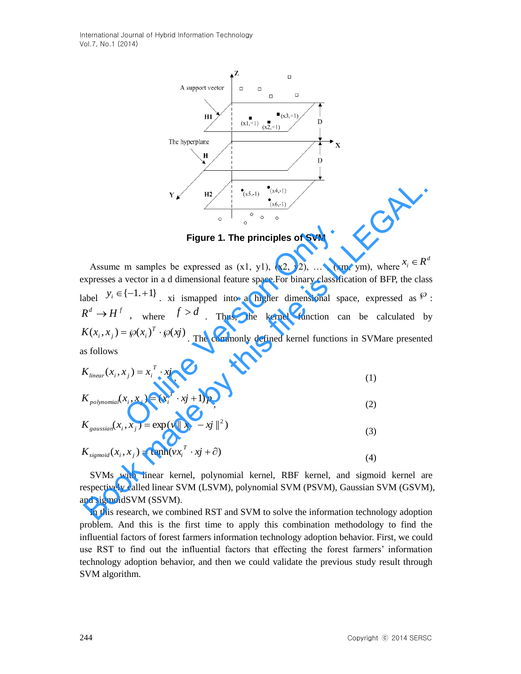International Journal of Hybrid Information Technology Vol.7, No.1 (2014)



**Figure 1. The principles of SVM**

Assume m samples be expressed as  $(x1, y1)$ ,  $(x2, y2)$ , ...,  $(xm, ym)$ , where  $x_i \in R^d$ expresses a vector in a d dimensional feature space.For binary classification of BFP, the class label  $y_i \in \{-1,+1\}$ , xi ismapped into a higher dimensional space, expressed as  $\{0, \dots, n\}$ .  $R^d \to H^f$ , where  $f > d$ . Thus, the kernel function can be calculated by  $K(x_i, x_j) = \wp(x_i)^T \cdot \wp(xj)$ . The commonly defined kernel functions in SVMare presented as follows **Figure 1. The principles of SVM**<br>m samples be expressed as  $(x1, y1)$ ,  $(x2, y2)$ , ...,  $(xn)$ <br>vector in a d dimensional feature space. For binary classific<br> $\{-1.+1\}$ , xi is mapped into a higher dimensional sp<br>, where  $f > d$ . **Example 1. The principles of SVM**<br> **Eigure 1. The principles of SVM**<br>
Assume m samples be expressed as  $(x1, y1)$ ,  $(x2, y2)$ , ...,  $(xm, ym)$ , where  $x_i \in R^x$ <br>
xpresses a vector in a d dimensional feature space. For binary cl

$$
K_{linear}(x_i, x_j) = x_i^T \cdot x_j \tag{1}
$$

$$
K_{polynomial}(x_i, x_j) = (x_i^T \cdot x_j + 1)p \tag{2}
$$

$$
K_{gaussian}(x_i, x_j) = \exp(v || x_i - xj ||^2)
$$
\n(3)

$$
K_{sigmoid}(x_i, x_j) = \tanh(v x_i^T \cdot x j + \partial)
$$
\n(4)

SVMs with linear kernel, polynomial kernel, RBF kernel, and sigmoid kernel are respectively called linear SVM (LSVM), polynomial SVM (PSVM), Gaussian SVM (GSVM), and sigmoidSVM (SSVM).

In this research, we combined RST and SVM to solve the information technology adoption problem. And this is the first time to apply this combination methodology to find the influential factors of forest farmers information technology adoption behavior. First, we could use RST to find out the influential factors that effecting the forest farmers' information technology adoption behavior, and then we could validate the previous study result through SVM algorithm.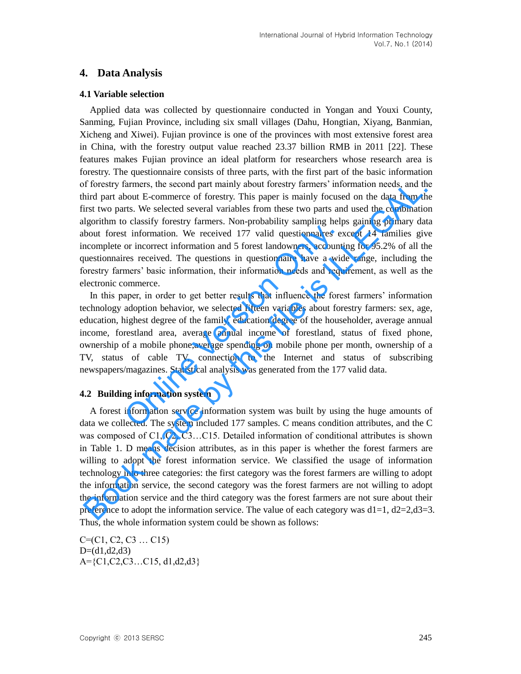# **4. Data Analysis**

#### **4.1 Variable selection**

Applied data was collected by questionnaire conducted in Yongan and Youxi County, Sanming, Fujian Province, including six small villages (Dahu, Hongtian, Xiyang, Banmian, Xicheng and Xiwei). Fujian province is one of the provinces with most extensive forest area in China, with the forestry output value reached 23.37 billion RMB in 2011 [22]. These features makes Fujian province an ideal platform for researchers whose research area is forestry. The questionnaire consists of three parts, with the first part of the basic information of forestry farmers, the second part mainly about forestry farmers' information needs, and the third part about E-commerce of forestry. This paper is mainly focused on the data from the first two parts. We selected several variables from these two parts and used the combination algorithm to classify forestry farmers. Non-probability sampling helps gaining primary data about forest information. We received 177 valid questionnaires except 14 families give incomplete or incorrect information and 5 forest landowners, accounting for 95.2% of all the questionnaires received. The questions in questionnaire have a wide range, including the forestry farmers' basic information, their information needs and requirement, as well as the electronic commerce.

In this paper, in order to get better results that influence the forest farmers' information technology adoption behavior, we selected fifteen variables about forestry farmers: sex, age, education, highest degree of the family, education degree of the householder, average annual income, forestland area, average annual income of forestland, status of fixed phone, ownership of a mobile phone,average spending on mobile phone per month, ownership of a TV, status of cable TV, connection to the Internet and status of subscribing newspapers/magazines. Statistical analysis was generated from the 177 valid data. t information. We received 177 valid questionnaires ex-<br>or incorrect information and 5 forest landowners, accounti<br>res received. The questions in questionnaire have a wid<br>mers' basic information, their information needs an

## **4.2 Building information system**

A forest information service information system was built by using the huge amounts of data we collected. The system included 177 samples. C means condition attributes, and the C was composed of C1, C2, C3...C15. Detailed information of conditional attributes is shown in Table 1. D means decision attributes, as in this paper is whether the forest farmers are willing to adopt the forest information service. We classified the usage of information technology into three categories: the first category was the forest farmers are willing to adopt the information service, the second category was the forest farmers are not willing to adopt the information service and the third category was the forest farmers are not sure about their preference to adopt the information service. The value of each category was  $d1=1$ ,  $d2=2$ , $d3=3$ . Thus, the whole information system could be shown as follows: If forestry farmers, the second part mainly about forestry farmers' information needs, and the briar about E-commerce of forestry. This paper is mainly focused on the data from the hom this part is mainly focused on the da

C=(C1, C2, C3 … C15)  $D=(d1,d2,d3)$ A={C1,C2,C3…C15, d1,d2,d3}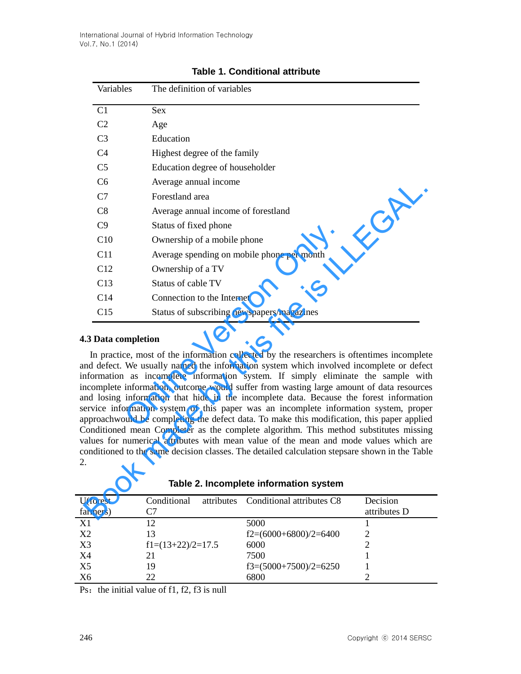|                                                                                                                                                                                                                                                                                                                                                                                                                                                                                                                                                                                                                                                                                                                                                                                                                                                                                                                                                         | Variables<br>The definition of variables |                                                     |              |  |  |  |
|---------------------------------------------------------------------------------------------------------------------------------------------------------------------------------------------------------------------------------------------------------------------------------------------------------------------------------------------------------------------------------------------------------------------------------------------------------------------------------------------------------------------------------------------------------------------------------------------------------------------------------------------------------------------------------------------------------------------------------------------------------------------------------------------------------------------------------------------------------------------------------------------------------------------------------------------------------|------------------------------------------|-----------------------------------------------------|--------------|--|--|--|
|                                                                                                                                                                                                                                                                                                                                                                                                                                                                                                                                                                                                                                                                                                                                                                                                                                                                                                                                                         | C1                                       | <b>Sex</b>                                          |              |  |  |  |
|                                                                                                                                                                                                                                                                                                                                                                                                                                                                                                                                                                                                                                                                                                                                                                                                                                                                                                                                                         | C <sub>2</sub>                           | Age                                                 |              |  |  |  |
|                                                                                                                                                                                                                                                                                                                                                                                                                                                                                                                                                                                                                                                                                                                                                                                                                                                                                                                                                         | C <sub>3</sub>                           | Education                                           |              |  |  |  |
|                                                                                                                                                                                                                                                                                                                                                                                                                                                                                                                                                                                                                                                                                                                                                                                                                                                                                                                                                         | C <sub>4</sub>                           | Highest degree of the family                        |              |  |  |  |
|                                                                                                                                                                                                                                                                                                                                                                                                                                                                                                                                                                                                                                                                                                                                                                                                                                                                                                                                                         | C <sub>5</sub>                           | Education degree of householder                     |              |  |  |  |
|                                                                                                                                                                                                                                                                                                                                                                                                                                                                                                                                                                                                                                                                                                                                                                                                                                                                                                                                                         | C <sub>6</sub>                           | Average annual income                               |              |  |  |  |
|                                                                                                                                                                                                                                                                                                                                                                                                                                                                                                                                                                                                                                                                                                                                                                                                                                                                                                                                                         | C7                                       | Forestland area                                     |              |  |  |  |
|                                                                                                                                                                                                                                                                                                                                                                                                                                                                                                                                                                                                                                                                                                                                                                                                                                                                                                                                                         | C8                                       | Average annual income of forestland                 |              |  |  |  |
|                                                                                                                                                                                                                                                                                                                                                                                                                                                                                                                                                                                                                                                                                                                                                                                                                                                                                                                                                         | C9                                       | Status of fixed phone                               |              |  |  |  |
|                                                                                                                                                                                                                                                                                                                                                                                                                                                                                                                                                                                                                                                                                                                                                                                                                                                                                                                                                         | C10                                      | Ownership of a mobile phone                         |              |  |  |  |
|                                                                                                                                                                                                                                                                                                                                                                                                                                                                                                                                                                                                                                                                                                                                                                                                                                                                                                                                                         | C11                                      | Average spending on mobile phone per month          |              |  |  |  |
|                                                                                                                                                                                                                                                                                                                                                                                                                                                                                                                                                                                                                                                                                                                                                                                                                                                                                                                                                         | C12                                      | Ownership of a TV                                   |              |  |  |  |
|                                                                                                                                                                                                                                                                                                                                                                                                                                                                                                                                                                                                                                                                                                                                                                                                                                                                                                                                                         | C13                                      | Status of cable TV                                  |              |  |  |  |
|                                                                                                                                                                                                                                                                                                                                                                                                                                                                                                                                                                                                                                                                                                                                                                                                                                                                                                                                                         | C14                                      | Connection to the Internet                          |              |  |  |  |
|                                                                                                                                                                                                                                                                                                                                                                                                                                                                                                                                                                                                                                                                                                                                                                                                                                                                                                                                                         | C15                                      | Status of subscribing newspapers/magazines          |              |  |  |  |
| .3 Data completion<br>In practice, most of the information collected by the researchers is oftentimes incomplet<br>and defect. We usually named the information system which involved incomplete or defect<br>information as incomplete information system. If simply eliminate the sample wit<br>ncomplete information, outcome would suffer from wasting large amount of data resource<br>and losing information that hide in the incomplete data. Because the forest information<br>ervice information system of this paper was an incomplete information system, prope<br>pproachwould be completing the defect data. To make this modification, this paper applie<br>Conditioned mean Completer as the complete algorithm. This method substitutes missin<br>ralues for numerical attributes with mean value of the mean and mode values which are<br>onditioned to the same decision classes. The detailed calculation stepsare shown in the Tabl |                                          |                                                     |              |  |  |  |
| Table 2. Incomplete information system                                                                                                                                                                                                                                                                                                                                                                                                                                                                                                                                                                                                                                                                                                                                                                                                                                                                                                                  |                                          |                                                     |              |  |  |  |
|                                                                                                                                                                                                                                                                                                                                                                                                                                                                                                                                                                                                                                                                                                                                                                                                                                                                                                                                                         | J(forest                                 | Conditional<br>attributes Conditional attributes C8 | Decision     |  |  |  |
|                                                                                                                                                                                                                                                                                                                                                                                                                                                                                                                                                                                                                                                                                                                                                                                                                                                                                                                                                         | armers)                                  | C7                                                  | attributes D |  |  |  |

# **Table 1. Conditional attribute**

#### **4.3 Data completion**

| U(forest<br>farmers) | Conditional         | attributes Conditional attributes C8 | Decision<br>attributes D |
|----------------------|---------------------|--------------------------------------|--------------------------|
| X1                   | 12                  | 5000                                 |                          |
| X <sub>2</sub>       | 13                  | $f2=(6000+6800)/2=6400$              | ာ                        |
| X3                   | $f1=(13+22)/2=17.5$ | 6000                                 |                          |
| X4                   | 21                  | 7500                                 |                          |
| X <sub>5</sub>       | 19                  | $f3=(5000+7500)/2=6250$              |                          |
| X6                   | 22                  | 6800                                 |                          |

|  |  | Table 2. Incomplete information system |  |
|--|--|----------------------------------------|--|
|--|--|----------------------------------------|--|

Ps: the initial value of  $f1$ ,  $f2$ ,  $f3$  is null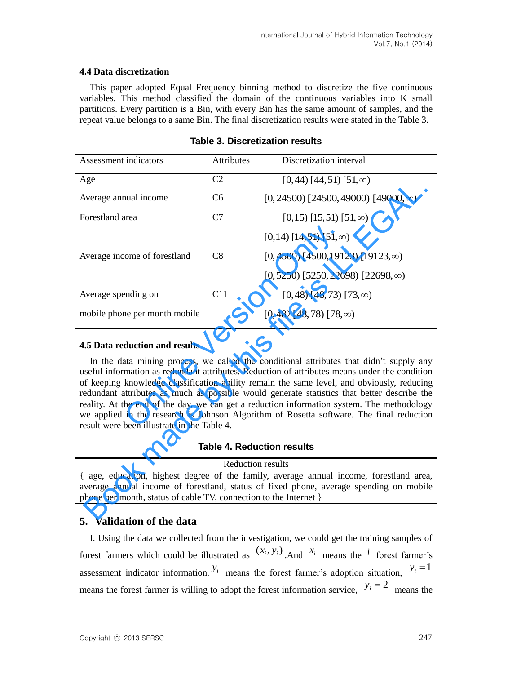#### **4.4 Data discretization**

This paper adopted Equal Frequency binning method to discretize the five continuous variables. This method classified the domain of the continuous variables into K small partitions. Every partition is a Bin, with every Bin has the same amount of samples, and the repeat value belongs to a same Bin. The final discretization results were stated in the Table 3.

| <b>Assessment indicators</b>                                                                                                                                                                                                                                                                                                                                                                                                                                                                                                                                                                                                                                                                          | <b>Attributes</b> | Discretization interval                         |  |  |  |
|-------------------------------------------------------------------------------------------------------------------------------------------------------------------------------------------------------------------------------------------------------------------------------------------------------------------------------------------------------------------------------------------------------------------------------------------------------------------------------------------------------------------------------------------------------------------------------------------------------------------------------------------------------------------------------------------------------|-------------------|-------------------------------------------------|--|--|--|
| Age                                                                                                                                                                                                                                                                                                                                                                                                                                                                                                                                                                                                                                                                                                   | C <sub>2</sub>    | $[0, 44)$ $[44, 51)$ $[51, \infty)$             |  |  |  |
| Average annual income                                                                                                                                                                                                                                                                                                                                                                                                                                                                                                                                                                                                                                                                                 | C <sub>6</sub>    | $[0, 24500)$ $[24500, 49000)$ $[49000, \infty)$ |  |  |  |
| Forestland area                                                                                                                                                                                                                                                                                                                                                                                                                                                                                                                                                                                                                                                                                       | C7                | $[0,15)$ $[15,51)$ $[51,\infty)$                |  |  |  |
|                                                                                                                                                                                                                                                                                                                                                                                                                                                                                                                                                                                                                                                                                                       |                   | $[0,14)$ [14,51] [51, $\infty$ )                |  |  |  |
| Average income of forestland                                                                                                                                                                                                                                                                                                                                                                                                                                                                                                                                                                                                                                                                          | C8                | $[0,4500)$ [4500,19123) [19123, $\infty$ )      |  |  |  |
|                                                                                                                                                                                                                                                                                                                                                                                                                                                                                                                                                                                                                                                                                                       |                   | $[0, 5250)$ [5250, 22698) [22698, $\infty$ )    |  |  |  |
| Average spending on                                                                                                                                                                                                                                                                                                                                                                                                                                                                                                                                                                                                                                                                                   | C11               | $[0, 48)$ [48, 73) [73, $\infty$ )              |  |  |  |
| mobile phone per month mobile                                                                                                                                                                                                                                                                                                                                                                                                                                                                                                                                                                                                                                                                         |                   | $[0, 48)$ [48, 78) [78, $\infty$ )              |  |  |  |
| 4.5 Data reduction and results<br>In the data mining process, we called the conditional attributes that didn't supply any<br>useful information as redundant attributes. Reduction of attributes means under the condition<br>of keeping knowledge classification ability remain the same level, and obviously, reducing<br>redundant attributes as much as possible would generate statistics that better describe the<br>reality. At the end of the day, we can get a reduction information system. The methodology<br>we applied in the research is Johnson Algorithm of Rosetta software. The final reduction<br>result were been illustrate in the Table 4.<br><b>Table 4. Reduction results</b> |                   |                                                 |  |  |  |
| <b>Reduction results</b>                                                                                                                                                                                                                                                                                                                                                                                                                                                                                                                                                                                                                                                                              |                   |                                                 |  |  |  |
| { age, education, highest degree of the family, average annual income, forestland area,<br>average annual income of forestland, status of fixed phone, average spending on mobile<br>phone per month, status of cable TV, connection to the Internet }                                                                                                                                                                                                                                                                                                                                                                                                                                                |                   |                                                 |  |  |  |
| $\mathbf{V}_{\alpha}$ $\mathbf{L}_{\alpha}$ $\mathbf{L}_{\alpha}$ $\mathbf{L}_{\alpha}$ $\mathbf{L}_{\alpha}$ $\mathbf{L}_{\alpha}$ $\mathbf{L}_{\alpha}$                                                                                                                                                                                                                                                                                                                                                                                                                                                                                                                                             |                   |                                                 |  |  |  |

#### **Table 3. Discretization results**

#### **4.5 Data reduction and results**

**Table 4. Reduction results**

## **5. Validation of the data**

I. Using the data we collected from the investigation, we could get the training samples of forest farmers which could be illustrated as  $(x_i, y_i)$ . And  $x_i$  means the *i* forest farmer's assessment indicator information.  $y_i$  means the forest farmer's adoption situation,  $y_i = 1$ means the forest farmer is willing to adopt the forest information service,  $y_i = 2$  means the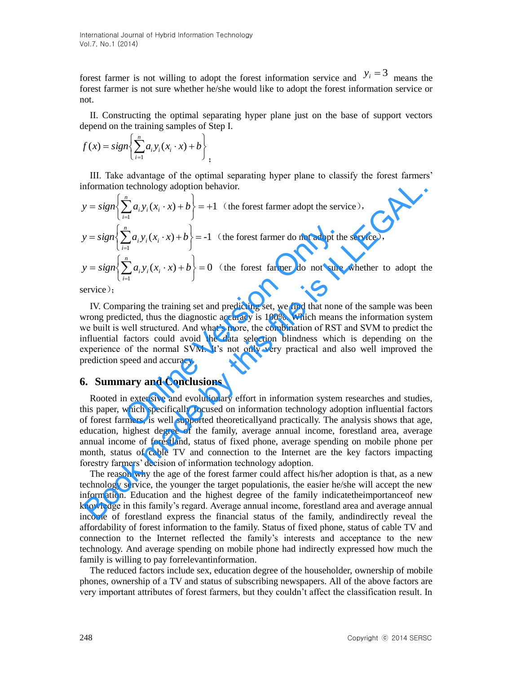International Journal of Hybrid Information Technology Vol.7, No.1 (2014)

forest farmer is not willing to adopt the forest information service and  $y_i = 3$  means the forest farmer is not sure whether he/she would like to adopt the forest information service or not.

II. Constructing the optimal separating hyper plane just on the base of support vectors depend on the training samples of Step I.

$$
f(x) = sign \left\{ \sum_{i=1}^{n} a_i y_i (x_i \cdot x) + b \right\},\,
$$

III. Take advantage of the optimal separating hyper plane to classify the forest farmers' information technology adoption behavior.

1)( 1 *n i iii bxxyasigny* (the forest farmer adopt the service), 1-)( 1 *n i iii bxxyasigny* (the forest farmer do not adopt the service), 0)( 1 *n i iii bxxyasigny* (the forest farmer do not sure whether to adopt the Book made by this file is ILLEGAL.

service);

IV. Comparing the training set and predicting set, we find that none of the sample was been wrong predicted, thus the diagnostic accuracy is 100%. Which means the information system we built is well structured. And what's more, the combination of RST and SVM to predict the influential factors could avoid the data selection blindness which is depending on the experience of the normal SVM. It's not only very practical and also well improved the prediction speed and accuracy.  $\left\{\sum_{i=1}^{n} a_i y_i(x_i \cdot x) + b\right\} = -1$  (the forest farmer do not adopt the  $\sum_{i=1}^{n} a_i y_i(x_i \cdot x) + b$ ) = 0 (the forest farmer do not sure paring the training set and predicting set, we find that none icted, thus the diagnostic

#### **6. Summary and Conclusions**

Rooted in extensive and evolutionary effort in information system researches and studies, this paper, which specifically focused on information technology adoption influential factors of forest farmers, is well supported theoreticallyand practically. The analysis shows that age, education, highest degree of the family, average annual income, forestland area, average annual income of forestland, status of fixed phone, average spending on mobile phone per month, status of cable TV and connection to the Internet are the key factors impacting forestry farmers' decision of information technology adoption.

The reason why the age of the forest farmer could affect his/her adoption is that, as a new technology service, the younger the target populationis, the easier he/she will accept the new information. Education and the highest degree of the family indicatetheimportanceof new knowledge in this family's regard. Average annual income, forestland area and average annual income of forestland express the financial status of the family, andindirectly reveal the affordability of forest information to the family. Status of fixed phone, status of cable TV and connection to the Internet reflected the family's interests and acceptance to the new technology. And average spending on mobile phone had indirectly expressed how much the family is willing to pay forrelevantinformation.

The reduced factors include sex, education degree of the householder, ownership of mobile phones, ownership of a TV and status of subscribing newspapers. All of the above factors are very important attributes of forest farmers, but they couldn't affect the classification result. In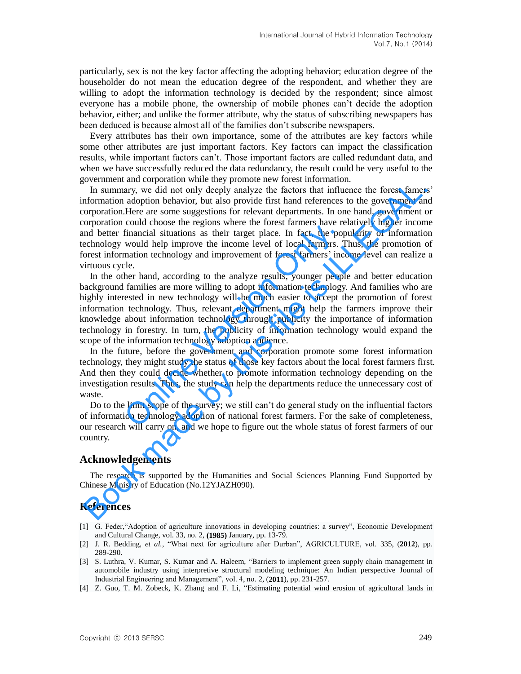particularly, sex is not the key factor affecting the adopting behavior; education degree of the householder do not mean the education degree of the respondent, and whether they are willing to adopt the information technology is decided by the respondent; since almost everyone has a mobile phone, the ownership of mobile phones can't decide the adoption behavior, either; and unlike the former attribute, why the status of subscribing newspapers has been deduced is because almost all of the families don't subscribe newspapers.

Every attributes has their own importance, some of the attributes are key factors while some other attributes are just important factors. Key factors can impact the classification results, while important factors can't. Those important factors are called redundant data, and when we have successfully reduced the data redundancy, the result could be very useful to the government and corporation while they promote new forest information.

In summary, we did not only deeply analyze the factors that influence the forest famers' information adoption behavior, but also provide first hand references to the government and corporation.Here are some suggestions for relevant departments. In one hand, government or corporation could choose the regions where the forest farmers have relatively higher income and better financial situations as their target place. In fact, the popularity of information technology would help improve the income level of local farmers. Thus, the promotion of forest information technology and improvement of forest farmers' income level can realize a virtuous cycle. overnmen and corporation twin they promote to we have a forest information and the method more to the geomentical more information adoption behavior, but also provide first hand references to the government and provide mor

In the other hand, according to the analyze results, younger people and better education background families are more willing to adopt information technology. And families who are highly interested in new technology will be much easier to accept the promotion of forest information technology. Thus, relevant department might help the farmers improve their knowledge about information technology through publicity the importance of information technology in forestry. In turn, the publicity of information technology would expand the scope of the information technology adoption audience. Financial situations as their target place. In fact, the pop-<br>financial situations as their target place. In fact, the pop-<br>would help improve the income level of local farmers. T<br>mation technology and improvement of fore

In the future, before the government and corporation promote some forest information technology, they might study the status of those key factors about the local forest farmers first. And then they could decide whether to promote information technology depending on the investigation results. Thus, the study can help the departments reduce the unnecessary cost of waste.

Do to the limit scope of the survey; we still can't do general study on the influential factors of information technology adoption of national forest farmers. For the sake of completeness, our research will carry on, and we hope to figure out the whole status of forest farmers of our country.

## **Acknowledgements**

The research is supported by the Humanities and Social Sciences Planning Fund Supported by Chinese Ministry of Education (No.12YJAZH090).

# **References**

- [1] G. Feder,"Adoption of agriculture innovations in developing countries: a survey", Economic Development and Cultural Change, vol. 33, no. 2, **(1985)** January, pp. 13-79.
- [2] J. R. Bedding, *et al.*, "What next for agriculture after Durban", AGRICULTURE, vol. 335, (**2012**), pp. 289-290.
- [3] S. Luthra, V. Kumar, S. Kumar and A. Haleem, "Barriers to implement green supply chain management in automobile industry using interpretive structural modeling technique: An Indian perspective Journal of Industrial Engineering and Management", vol. 4, no. 2, (**2011**), pp. 231-257.
- [4] Z. Guo, T. M. Zobeck, K. Zhang and F. Li, "Estimating potential wind erosion of agricultural lands in